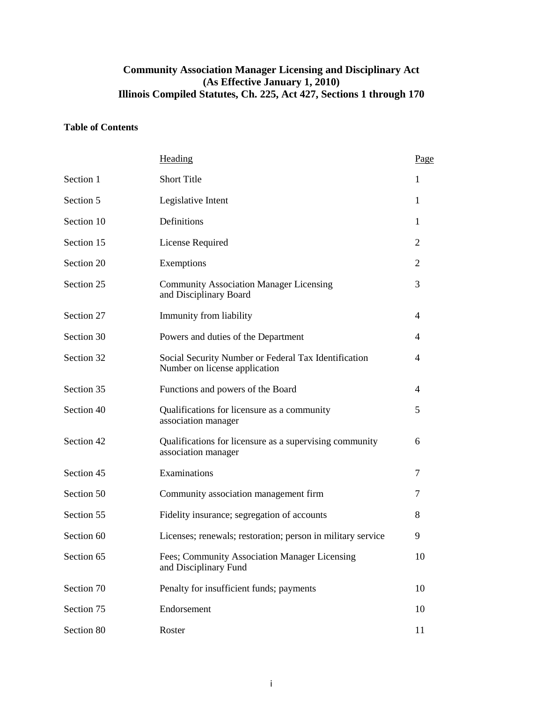# **Community Association Manager Licensing and Disciplinary Act (As Effective January 1, 2010) Illinois Compiled Statutes, Ch. 225, Act 427, Sections 1 through 170**

# **Table of Contents**

|            | Heading                                                                               | Page |
|------------|---------------------------------------------------------------------------------------|------|
| Section 1  | <b>Short Title</b>                                                                    | 1    |
| Section 5  | Legislative Intent                                                                    | 1    |
| Section 10 | Definitions                                                                           | 1    |
| Section 15 | License Required                                                                      | 2    |
| Section 20 | Exemptions                                                                            | 2    |
| Section 25 | <b>Community Association Manager Licensing</b><br>and Disciplinary Board              | 3    |
| Section 27 | Immunity from liability                                                               | 4    |
| Section 30 | Powers and duties of the Department                                                   | 4    |
| Section 32 | Social Security Number or Federal Tax Identification<br>Number on license application | 4    |
| Section 35 | Functions and powers of the Board                                                     | 4    |
| Section 40 | Qualifications for licensure as a community<br>association manager                    | 5    |
| Section 42 | Qualifications for licensure as a supervising community<br>association manager        | 6    |
| Section 45 | Examinations                                                                          | 7    |
| Section 50 | Community association management firm                                                 | 7    |
| Section 55 | Fidelity insurance; segregation of accounts                                           | 8    |
| Section 60 | Licenses; renewals; restoration; person in military service                           | 9    |
| Section 65 | Fees; Community Association Manager Licensing<br>and Disciplinary Fund                | 10   |
| Section 70 | Penalty for insufficient funds; payments                                              | 10   |
| Section 75 | Endorsement                                                                           | 10   |
| Section 80 | Roster                                                                                | 11   |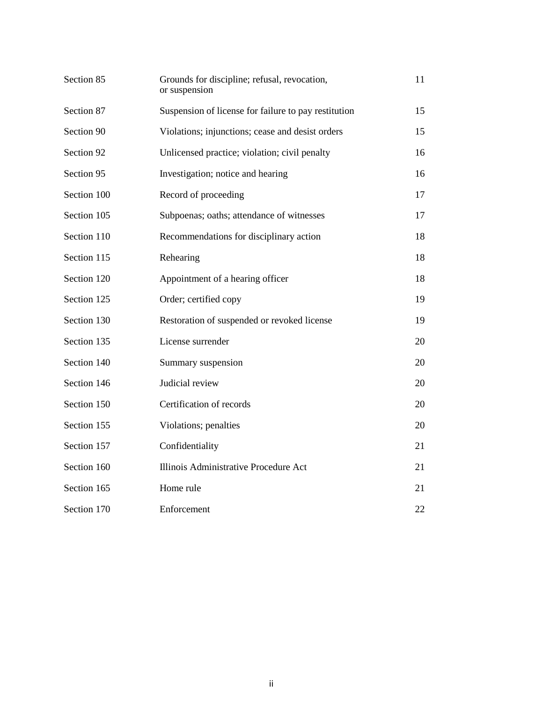| Section 85  | Grounds for discipline; refusal, revocation,<br>or suspension | 11 |
|-------------|---------------------------------------------------------------|----|
| Section 87  | Suspension of license for failure to pay restitution          | 15 |
| Section 90  | Violations; injunctions; cease and desist orders              | 15 |
| Section 92  | Unlicensed practice; violation; civil penalty                 | 16 |
| Section 95  | Investigation; notice and hearing                             | 16 |
| Section 100 | Record of proceeding                                          | 17 |
| Section 105 | Subpoenas; oaths; attendance of witnesses                     | 17 |
| Section 110 | Recommendations for disciplinary action                       | 18 |
| Section 115 | Rehearing                                                     | 18 |
| Section 120 | Appointment of a hearing officer                              | 18 |
| Section 125 | Order; certified copy                                         | 19 |
| Section 130 | Restoration of suspended or revoked license                   | 19 |
| Section 135 | License surrender                                             | 20 |
| Section 140 | Summary suspension                                            | 20 |
| Section 146 | Judicial review                                               | 20 |
| Section 150 | Certification of records                                      | 20 |
| Section 155 | Violations; penalties                                         | 20 |
| Section 157 | Confidentiality                                               | 21 |
| Section 160 | Illinois Administrative Procedure Act                         | 21 |
| Section 165 | Home rule                                                     | 21 |
| Section 170 | Enforcement                                                   | 22 |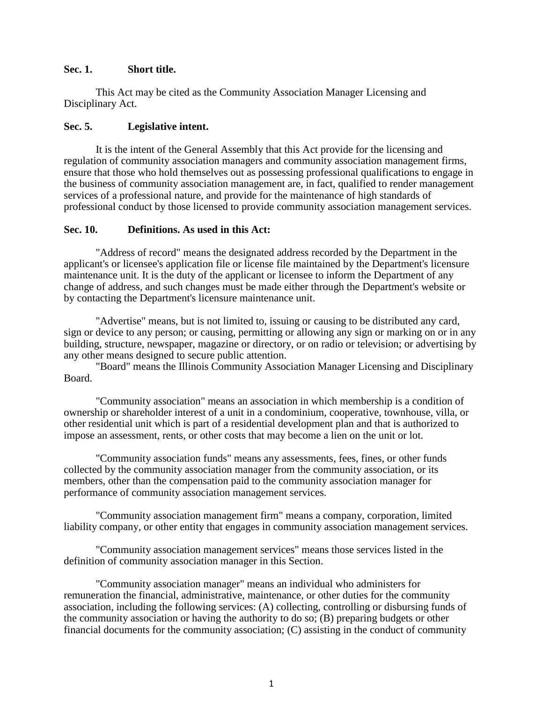#### **Sec. 1. Short title.**

This Act may be cited as the Community Association Manager Licensing and Disciplinary Act.

## **Sec. 5. Legislative intent.**

It is the intent of the General Assembly that this Act provide for the licensing and regulation of community association managers and community association management firms, ensure that those who hold themselves out as possessing professional qualifications to engage in the business of community association management are, in fact, qualified to render management services of a professional nature, and provide for the maintenance of high standards of professional conduct by those licensed to provide community association management services.

# **Sec. 10. Definitions. As used in this Act:**

"Address of record" means the designated address recorded by the Department in the applicant's or licensee's application file or license file maintained by the Department's licensure maintenance unit. It is the duty of the applicant or licensee to inform the Department of any change of address, and such changes must be made either through the Department's website or by contacting the Department's licensure maintenance unit.

"Advertise" means, but is not limited to, issuing or causing to be distributed any card, sign or device to any person; or causing, permitting or allowing any sign or marking on or in any building, structure, newspaper, magazine or directory, or on radio or television; or advertising by any other means designed to secure public attention.

"Board" means the Illinois Community Association Manager Licensing and Disciplinary Board.

"Community association" means an association in which membership is a condition of ownership or shareholder interest of a unit in a condominium, cooperative, townhouse, villa, or other residential unit which is part of a residential development plan and that is authorized to impose an assessment, rents, or other costs that may become a lien on the unit or lot.

"Community association funds" means any assessments, fees, fines, or other funds collected by the community association manager from the community association, or its members, other than the compensation paid to the community association manager for performance of community association management services.

"Community association management firm" means a company, corporation, limited liability company, or other entity that engages in community association management services.

"Community association management services" means those services listed in the definition of community association manager in this Section.

"Community association manager" means an individual who administers for remuneration the financial, administrative, maintenance, or other duties for the community association, including the following services: (A) collecting, controlling or disbursing funds of the community association or having the authority to do so; (B) preparing budgets or other financial documents for the community association; (C) assisting in the conduct of community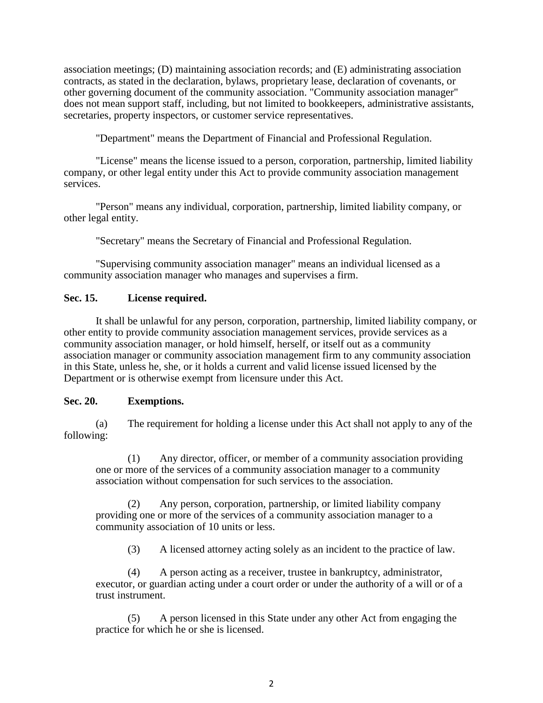association meetings; (D) maintaining association records; and (E) administrating association contracts, as stated in the declaration, bylaws, proprietary lease, declaration of covenants, or other governing document of the community association. "Community association manager" does not mean support staff, including, but not limited to bookkeepers, administrative assistants, secretaries, property inspectors, or customer service representatives.

"Department" means the Department of Financial and Professional Regulation.

"License" means the license issued to a person, corporation, partnership, limited liability company, or other legal entity under this Act to provide community association management services.

"Person" means any individual, corporation, partnership, limited liability company, or other legal entity.

"Secretary" means the Secretary of Financial and Professional Regulation.

"Supervising community association manager" means an individual licensed as a community association manager who manages and supervises a firm.

## **Sec. 15. License required.**

It shall be unlawful for any person, corporation, partnership, limited liability company, or other entity to provide community association management services, provide services as a community association manager, or hold himself, herself, or itself out as a community association manager or community association management firm to any community association in this State, unless he, she, or it holds a current and valid license issued licensed by the Department or is otherwise exempt from licensure under this Act.

## **Sec. 20. Exemptions.**

(a) The requirement for holding a license under this Act shall not apply to any of the following:

(1) Any director, officer, or member of a community association providing one or more of the services of a community association manager to a community association without compensation for such services to the association.

(2) Any person, corporation, partnership, or limited liability company providing one or more of the services of a community association manager to a community association of 10 units or less.

(3) A licensed attorney acting solely as an incident to the practice of law.

(4) A person acting as a receiver, trustee in bankruptcy, administrator, executor, or guardian acting under a court order or under the authority of a will or of a trust instrument.

(5) A person licensed in this State under any other Act from engaging the practice for which he or she is licensed.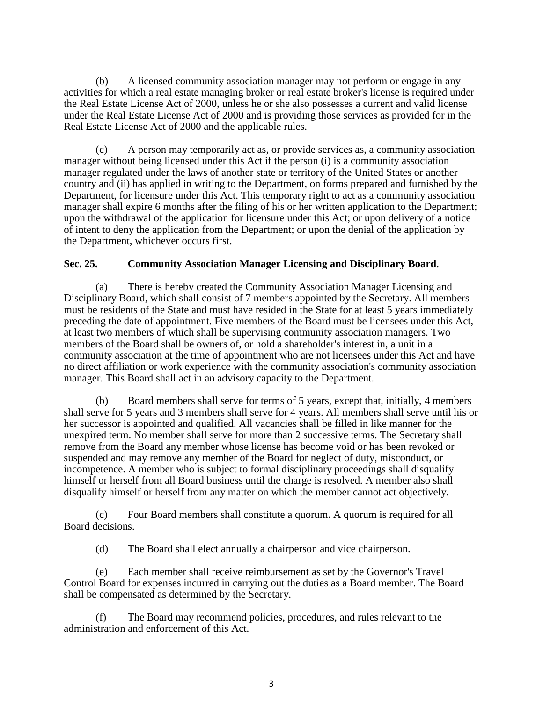(b) A licensed community association manager may not perform or engage in any activities for which a real estate managing broker or real estate broker's license is required under the Real Estate License Act of 2000, unless he or she also possesses a current and valid license under the Real Estate License Act of 2000 and is providing those services as provided for in the Real Estate License Act of 2000 and the applicable rules.

(c) A person may temporarily act as, or provide services as, a community association manager without being licensed under this Act if the person (i) is a community association manager regulated under the laws of another state or territory of the United States or another country and (ii) has applied in writing to the Department, on forms prepared and furnished by the Department, for licensure under this Act. This temporary right to act as a community association manager shall expire 6 months after the filing of his or her written application to the Department; upon the withdrawal of the application for licensure under this Act; or upon delivery of a notice of intent to deny the application from the Department; or upon the denial of the application by the Department, whichever occurs first.

## **Sec. 25. Community Association Manager Licensing and Disciplinary Board**.

(a) There is hereby created the Community Association Manager Licensing and Disciplinary Board, which shall consist of 7 members appointed by the Secretary. All members must be residents of the State and must have resided in the State for at least 5 years immediately preceding the date of appointment. Five members of the Board must be licensees under this Act, at least two members of which shall be supervising community association managers. Two members of the Board shall be owners of, or hold a shareholder's interest in, a unit in a community association at the time of appointment who are not licensees under this Act and have no direct affiliation or work experience with the community association's community association manager. This Board shall act in an advisory capacity to the Department.

(b) Board members shall serve for terms of 5 years, except that, initially, 4 members shall serve for 5 years and 3 members shall serve for 4 years. All members shall serve until his or her successor is appointed and qualified. All vacancies shall be filled in like manner for the unexpired term. No member shall serve for more than 2 successive terms. The Secretary shall remove from the Board any member whose license has become void or has been revoked or suspended and may remove any member of the Board for neglect of duty, misconduct, or incompetence. A member who is subject to formal disciplinary proceedings shall disqualify himself or herself from all Board business until the charge is resolved. A member also shall disqualify himself or herself from any matter on which the member cannot act objectively.

(c) Four Board members shall constitute a quorum. A quorum is required for all Board decisions.

(d) The Board shall elect annually a chairperson and vice chairperson.

(e) Each member shall receive reimbursement as set by the Governor's Travel Control Board for expenses incurred in carrying out the duties as a Board member. The Board shall be compensated as determined by the Secretary.

(f) The Board may recommend policies, procedures, and rules relevant to the administration and enforcement of this Act.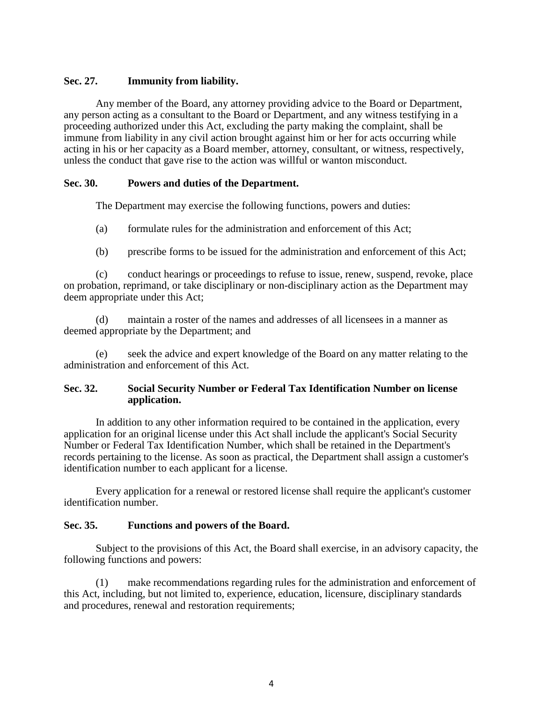# **Sec. 27. Immunity from liability.**

Any member of the Board, any attorney providing advice to the Board or Department, any person acting as a consultant to the Board or Department, and any witness testifying in a proceeding authorized under this Act, excluding the party making the complaint, shall be immune from liability in any civil action brought against him or her for acts occurring while acting in his or her capacity as a Board member, attorney, consultant, or witness, respectively, unless the conduct that gave rise to the action was willful or wanton misconduct.

## **Sec. 30. Powers and duties of the Department.**

The Department may exercise the following functions, powers and duties:

- (a) formulate rules for the administration and enforcement of this Act;
- (b) prescribe forms to be issued for the administration and enforcement of this Act;

(c) conduct hearings or proceedings to refuse to issue, renew, suspend, revoke, place on probation, reprimand, or take disciplinary or non-disciplinary action as the Department may deem appropriate under this Act;

(d) maintain a roster of the names and addresses of all licensees in a manner as deemed appropriate by the Department; and

(e) seek the advice and expert knowledge of the Board on any matter relating to the administration and enforcement of this Act.

## **Sec. 32. Social Security Number or Federal Tax Identification Number on license application.**

In addition to any other information required to be contained in the application, every application for an original license under this Act shall include the applicant's Social Security Number or Federal Tax Identification Number, which shall be retained in the Department's records pertaining to the license. As soon as practical, the Department shall assign a customer's identification number to each applicant for a license.

Every application for a renewal or restored license shall require the applicant's customer identification number.

## **Sec. 35. Functions and powers of the Board.**

Subject to the provisions of this Act, the Board shall exercise, in an advisory capacity, the following functions and powers:

(1) make recommendations regarding rules for the administration and enforcement of this Act, including, but not limited to, experience, education, licensure, disciplinary standards and procedures, renewal and restoration requirements;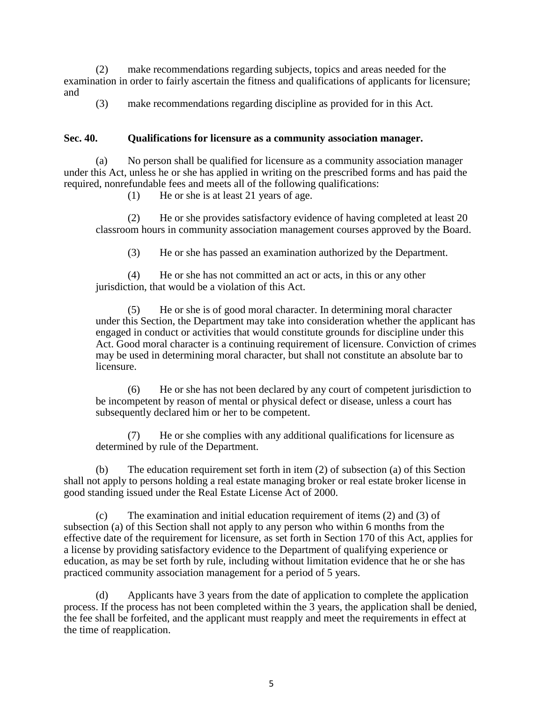(2) make recommendations regarding subjects, topics and areas needed for the examination in order to fairly ascertain the fitness and qualifications of applicants for licensure; and

(3) make recommendations regarding discipline as provided for in this Act.

#### **Sec. 40. Qualifications for licensure as a community association manager.**

(a) No person shall be qualified for licensure as a community association manager under this Act, unless he or she has applied in writing on the prescribed forms and has paid the required, nonrefundable fees and meets all of the following qualifications:

(1) He or she is at least 21 years of age.

(2) He or she provides satisfactory evidence of having completed at least 20 classroom hours in community association management courses approved by the Board.

(3) He or she has passed an examination authorized by the Department.

(4) He or she has not committed an act or acts, in this or any other jurisdiction, that would be a violation of this Act.

(5) He or she is of good moral character. In determining moral character under this Section, the Department may take into consideration whether the applicant has engaged in conduct or activities that would constitute grounds for discipline under this Act. Good moral character is a continuing requirement of licensure. Conviction of crimes may be used in determining moral character, but shall not constitute an absolute bar to licensure.

(6) He or she has not been declared by any court of competent jurisdiction to be incompetent by reason of mental or physical defect or disease, unless a court has subsequently declared him or her to be competent.

(7) He or she complies with any additional qualifications for licensure as determined by rule of the Department.

(b) The education requirement set forth in item (2) of subsection (a) of this Section shall not apply to persons holding a real estate managing broker or real estate broker license in good standing issued under the Real Estate License Act of 2000.

(c) The examination and initial education requirement of items (2) and (3) of subsection (a) of this Section shall not apply to any person who within 6 months from the effective date of the requirement for licensure, as set forth in Section 170 of this Act, applies for a license by providing satisfactory evidence to the Department of qualifying experience or education, as may be set forth by rule, including without limitation evidence that he or she has practiced community association management for a period of 5 years.

(d) Applicants have 3 years from the date of application to complete the application process. If the process has not been completed within the 3 years, the application shall be denied, the fee shall be forfeited, and the applicant must reapply and meet the requirements in effect at the time of reapplication.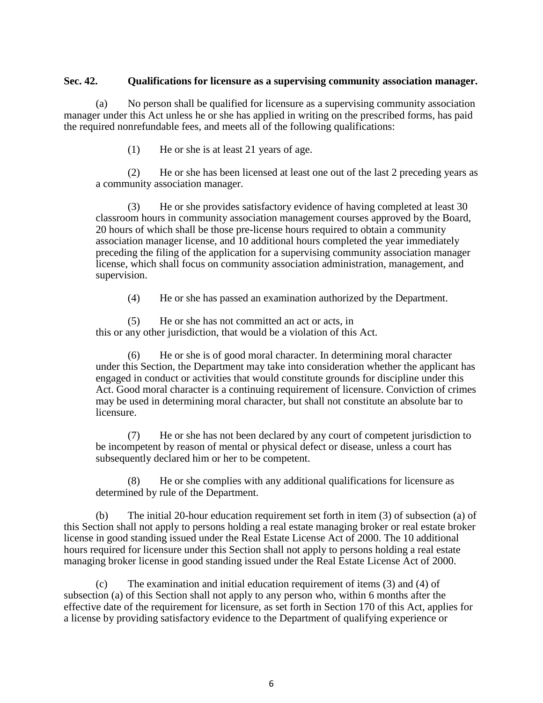#### **Sec. 42. Qualifications for licensure as a supervising community association manager.**

(a) No person shall be qualified for licensure as a supervising community association manager under this Act unless he or she has applied in writing on the prescribed forms, has paid the required nonrefundable fees, and meets all of the following qualifications:

(1) He or she is at least 21 years of age.

(2) He or she has been licensed at least one out of the last 2 preceding years as a community association manager.

(3) He or she provides satisfactory evidence of having completed at least 30 classroom hours in community association management courses approved by the Board, 20 hours of which shall be those pre-license hours required to obtain a community association manager license, and 10 additional hours completed the year immediately preceding the filing of the application for a supervising community association manager license, which shall focus on community association administration, management, and supervision.

(4) He or she has passed an examination authorized by the Department.

(5) He or she has not committed an act or acts, in this or any other jurisdiction, that would be a violation of this Act.

(6) He or she is of good moral character. In determining moral character under this Section, the Department may take into consideration whether the applicant has engaged in conduct or activities that would constitute grounds for discipline under this Act. Good moral character is a continuing requirement of licensure. Conviction of crimes may be used in determining moral character, but shall not constitute an absolute bar to licensure.

(7) He or she has not been declared by any court of competent jurisdiction to be incompetent by reason of mental or physical defect or disease, unless a court has subsequently declared him or her to be competent.

(8) He or she complies with any additional qualifications for licensure as determined by rule of the Department.

(b) The initial 20-hour education requirement set forth in item (3) of subsection (a) of this Section shall not apply to persons holding a real estate managing broker or real estate broker license in good standing issued under the Real Estate License Act of 2000. The 10 additional hours required for licensure under this Section shall not apply to persons holding a real estate managing broker license in good standing issued under the Real Estate License Act of 2000.

(c) The examination and initial education requirement of items (3) and (4) of subsection (a) of this Section shall not apply to any person who, within 6 months after the effective date of the requirement for licensure, as set forth in Section 170 of this Act, applies for a license by providing satisfactory evidence to the Department of qualifying experience or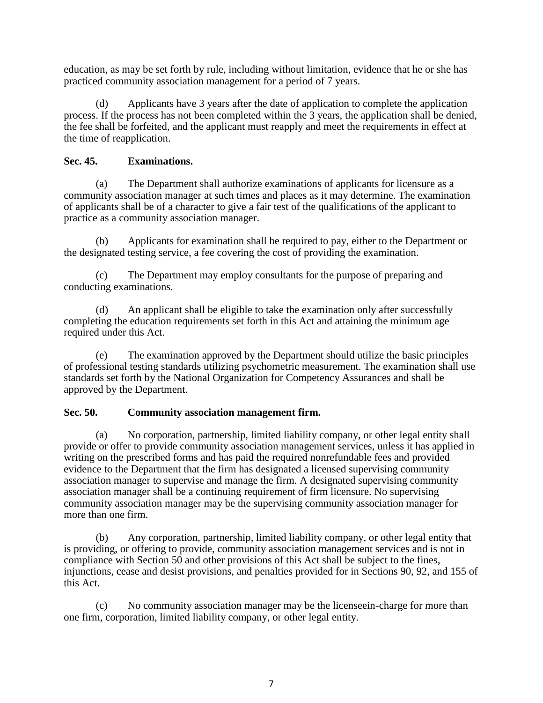education, as may be set forth by rule, including without limitation, evidence that he or she has practiced community association management for a period of 7 years.

(d) Applicants have 3 years after the date of application to complete the application process. If the process has not been completed within the 3 years, the application shall be denied, the fee shall be forfeited, and the applicant must reapply and meet the requirements in effect at the time of reapplication.

# **Sec. 45. Examinations.**

(a) The Department shall authorize examinations of applicants for licensure as a community association manager at such times and places as it may determine. The examination of applicants shall be of a character to give a fair test of the qualifications of the applicant to practice as a community association manager.

(b) Applicants for examination shall be required to pay, either to the Department or the designated testing service, a fee covering the cost of providing the examination.

(c) The Department may employ consultants for the purpose of preparing and conducting examinations.

(d) An applicant shall be eligible to take the examination only after successfully completing the education requirements set forth in this Act and attaining the minimum age required under this Act.

(e) The examination approved by the Department should utilize the basic principles of professional testing standards utilizing psychometric measurement. The examination shall use standards set forth by the National Organization for Competency Assurances and shall be approved by the Department.

# **Sec. 50. Community association management firm.**

(a) No corporation, partnership, limited liability company, or other legal entity shall provide or offer to provide community association management services, unless it has applied in writing on the prescribed forms and has paid the required nonrefundable fees and provided evidence to the Department that the firm has designated a licensed supervising community association manager to supervise and manage the firm. A designated supervising community association manager shall be a continuing requirement of firm licensure. No supervising community association manager may be the supervising community association manager for more than one firm.

(b) Any corporation, partnership, limited liability company, or other legal entity that is providing, or offering to provide, community association management services and is not in compliance with Section 50 and other provisions of this Act shall be subject to the fines, injunctions, cease and desist provisions, and penalties provided for in Sections 90, 92, and 155 of this Act.

(c) No community association manager may be the licenseein-charge for more than one firm, corporation, limited liability company, or other legal entity.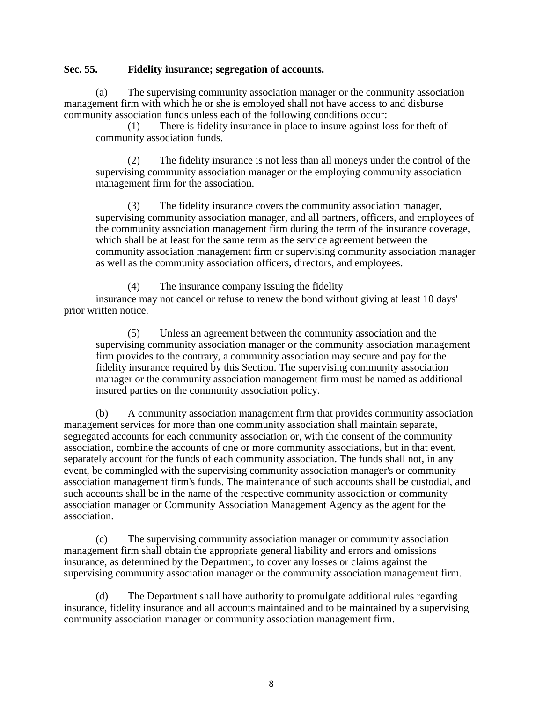#### **Sec. 55. Fidelity insurance; segregation of accounts.**

(a) The supervising community association manager or the community association management firm with which he or she is employed shall not have access to and disburse community association funds unless each of the following conditions occur:

(1) There is fidelity insurance in place to insure against loss for theft of community association funds.

(2) The fidelity insurance is not less than all moneys under the control of the supervising community association manager or the employing community association management firm for the association.

(3) The fidelity insurance covers the community association manager, supervising community association manager, and all partners, officers, and employees of the community association management firm during the term of the insurance coverage, which shall be at least for the same term as the service agreement between the community association management firm or supervising community association manager as well as the community association officers, directors, and employees.

(4) The insurance company issuing the fidelity insurance may not cancel or refuse to renew the bond without giving at least 10 days' prior written notice.

(5) Unless an agreement between the community association and the supervising community association manager or the community association management firm provides to the contrary, a community association may secure and pay for the fidelity insurance required by this Section. The supervising community association manager or the community association management firm must be named as additional insured parties on the community association policy.

(b) A community association management firm that provides community association management services for more than one community association shall maintain separate, segregated accounts for each community association or, with the consent of the community association, combine the accounts of one or more community associations, but in that event, separately account for the funds of each community association. The funds shall not, in any event, be commingled with the supervising community association manager's or community association management firm's funds. The maintenance of such accounts shall be custodial, and such accounts shall be in the name of the respective community association or community association manager or Community Association Management Agency as the agent for the association.

(c) The supervising community association manager or community association management firm shall obtain the appropriate general liability and errors and omissions insurance, as determined by the Department, to cover any losses or claims against the supervising community association manager or the community association management firm.

(d) The Department shall have authority to promulgate additional rules regarding insurance, fidelity insurance and all accounts maintained and to be maintained by a supervising community association manager or community association management firm.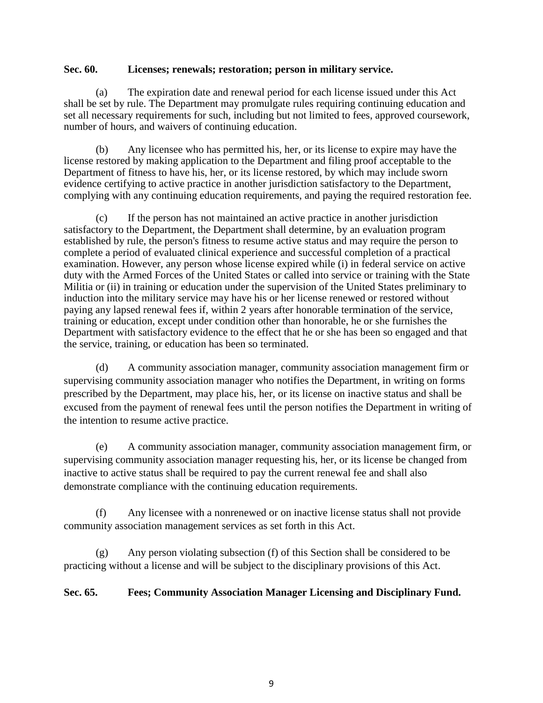#### **Sec. 60. Licenses; renewals; restoration; person in military service.**

(a) The expiration date and renewal period for each license issued under this Act shall be set by rule. The Department may promulgate rules requiring continuing education and set all necessary requirements for such, including but not limited to fees, approved coursework, number of hours, and waivers of continuing education.

(b) Any licensee who has permitted his, her, or its license to expire may have the license restored by making application to the Department and filing proof acceptable to the Department of fitness to have his, her, or its license restored, by which may include sworn evidence certifying to active practice in another jurisdiction satisfactory to the Department, complying with any continuing education requirements, and paying the required restoration fee.

(c) If the person has not maintained an active practice in another jurisdiction satisfactory to the Department, the Department shall determine, by an evaluation program established by rule, the person's fitness to resume active status and may require the person to complete a period of evaluated clinical experience and successful completion of a practical examination. However, any person whose license expired while (i) in federal service on active duty with the Armed Forces of the United States or called into service or training with the State Militia or (ii) in training or education under the supervision of the United States preliminary to induction into the military service may have his or her license renewed or restored without paying any lapsed renewal fees if, within 2 years after honorable termination of the service, training or education, except under condition other than honorable, he or she furnishes the Department with satisfactory evidence to the effect that he or she has been so engaged and that the service, training, or education has been so terminated.

(d) A community association manager, community association management firm or supervising community association manager who notifies the Department, in writing on forms prescribed by the Department, may place his, her, or its license on inactive status and shall be excused from the payment of renewal fees until the person notifies the Department in writing of the intention to resume active practice.

(e) A community association manager, community association management firm, or supervising community association manager requesting his, her, or its license be changed from inactive to active status shall be required to pay the current renewal fee and shall also demonstrate compliance with the continuing education requirements.

(f) Any licensee with a nonrenewed or on inactive license status shall not provide community association management services as set forth in this Act.

(g) Any person violating subsection (f) of this Section shall be considered to be practicing without a license and will be subject to the disciplinary provisions of this Act.

# **Sec. 65. Fees; Community Association Manager Licensing and Disciplinary Fund.**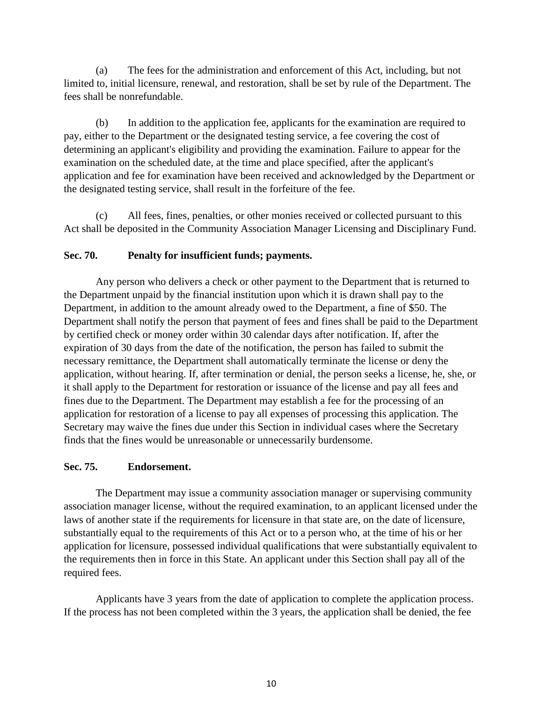(a) The fees for the administration and enforcement of this Act, including, but not limited to, initial licensure, renewal, and restoration, shall be set by rule of the Department. The fees shall be nonrefundable.

(b) In addition to the application fee, applicants for the examination are required to pay, either to the Department or the designated testing service, a fee covering the cost of determining an applicant's eligibility and providing the examination. Failure to appear for the examination on the scheduled date, at the time and place specified, after the applicant's application and fee for examination have been received and acknowledged by the Department or the designated testing service, shall result in the forfeiture of the fee.

(c) All fees, fines, penalties, or other monies received or collected pursuant to this Act shall be deposited in the Community Association Manager Licensing and Disciplinary Fund.

# **Sec. 70. Penalty for insufficient funds; payments.**

Any person who delivers a check or other payment to the Department that is returned to the Department unpaid by the financial institution upon which it is drawn shall pay to the Department, in addition to the amount already owed to the Department, a fine of \$50. The Department shall notify the person that payment of fees and fines shall be paid to the Department by certified check or money order within 30 calendar days after notification. If, after the expiration of 30 days from the date of the notification, the person has failed to submit the necessary remittance, the Department shall automatically terminate the license or deny the application, without hearing. If, after termination or denial, the person seeks a license, he, she, or it shall apply to the Department for restoration or issuance of the license and pay all fees and fines due to the Department. The Department may establish a fee for the processing of an application for restoration of a license to pay all expenses of processing this application. The Secretary may waive the fines due under this Section in individual cases where the Secretary finds that the fines would be unreasonable or unnecessarily burdensome.

# **Sec. 75. Endorsement.**

The Department may issue a community association manager or supervising community association manager license, without the required examination, to an applicant licensed under the laws of another state if the requirements for licensure in that state are, on the date of licensure, substantially equal to the requirements of this Act or to a person who, at the time of his or her application for licensure, possessed individual qualifications that were substantially equivalent to the requirements then in force in this State. An applicant under this Section shall pay all of the required fees.

Applicants have 3 years from the date of application to complete the application process. If the process has not been completed within the 3 years, the application shall be denied, the fee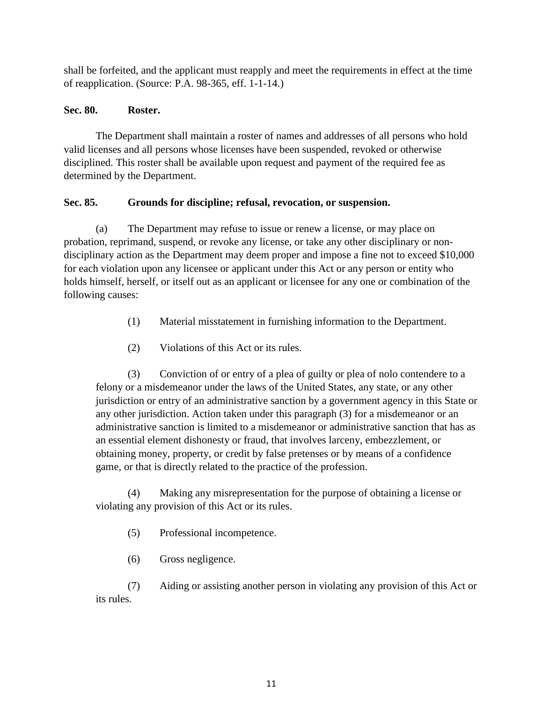shall be forfeited, and the applicant must reapply and meet the requirements in effect at the time of reapplication. (Source: P.A. 98-365, eff. 1-1-14.)

# **Sec. 80. Roster.**

The Department shall maintain a roster of names and addresses of all persons who hold valid licenses and all persons whose licenses have been suspended, revoked or otherwise disciplined. This roster shall be available upon request and payment of the required fee as determined by the Department.

# **Sec. 85. Grounds for discipline; refusal, revocation, or suspension.**

(a) The Department may refuse to issue or renew a license, or may place on probation, reprimand, suspend, or revoke any license, or take any other disciplinary or nondisciplinary action as the Department may deem proper and impose a fine not to exceed \$10,000 for each violation upon any licensee or applicant under this Act or any person or entity who holds himself, herself, or itself out as an applicant or licensee for any one or combination of the following causes:

- (1) Material misstatement in furnishing information to the Department.
- (2) Violations of this Act or its rules.

(3) Conviction of or entry of a plea of guilty or plea of nolo contendere to a felony or a misdemeanor under the laws of the United States, any state, or any other jurisdiction or entry of an administrative sanction by a government agency in this State or any other jurisdiction. Action taken under this paragraph (3) for a misdemeanor or an administrative sanction is limited to a misdemeanor or administrative sanction that has as an essential element dishonesty or fraud, that involves larceny, embezzlement, or obtaining money, property, or credit by false pretenses or by means of a confidence game, or that is directly related to the practice of the profession.

(4) Making any misrepresentation for the purpose of obtaining a license or violating any provision of this Act or its rules.

- (5) Professional incompetence.
- (6) Gross negligence.

(7) Aiding or assisting another person in violating any provision of this Act or its rules.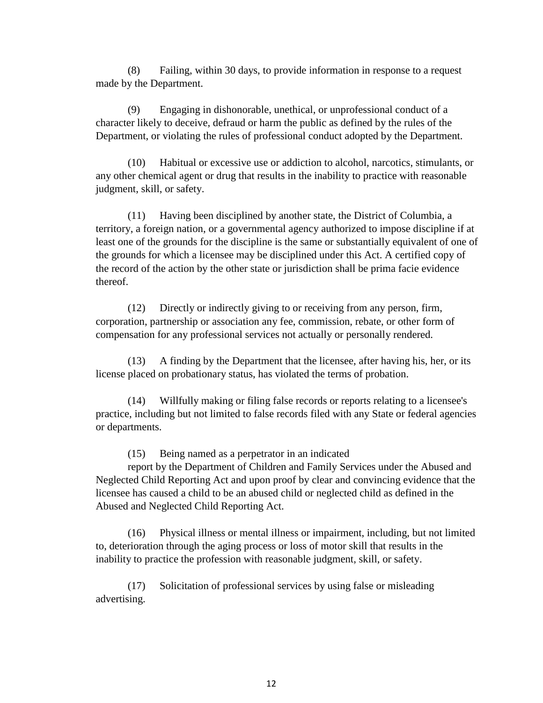(8) Failing, within 30 days, to provide information in response to a request made by the Department.

(9) Engaging in dishonorable, unethical, or unprofessional conduct of a character likely to deceive, defraud or harm the public as defined by the rules of the Department, or violating the rules of professional conduct adopted by the Department.

(10) Habitual or excessive use or addiction to alcohol, narcotics, stimulants, or any other chemical agent or drug that results in the inability to practice with reasonable judgment, skill, or safety.

(11) Having been disciplined by another state, the District of Columbia, a territory, a foreign nation, or a governmental agency authorized to impose discipline if at least one of the grounds for the discipline is the same or substantially equivalent of one of the grounds for which a licensee may be disciplined under this Act. A certified copy of the record of the action by the other state or jurisdiction shall be prima facie evidence thereof.

(12) Directly or indirectly giving to or receiving from any person, firm, corporation, partnership or association any fee, commission, rebate, or other form of compensation for any professional services not actually or personally rendered.

(13) A finding by the Department that the licensee, after having his, her, or its license placed on probationary status, has violated the terms of probation.

(14) Willfully making or filing false records or reports relating to a licensee's practice, including but not limited to false records filed with any State or federal agencies or departments.

(15) Being named as a perpetrator in an indicated

report by the Department of Children and Family Services under the Abused and Neglected Child Reporting Act and upon proof by clear and convincing evidence that the licensee has caused a child to be an abused child or neglected child as defined in the Abused and Neglected Child Reporting Act.

(16) Physical illness or mental illness or impairment, including, but not limited to, deterioration through the aging process or loss of motor skill that results in the inability to practice the profession with reasonable judgment, skill, or safety.

(17) Solicitation of professional services by using false or misleading advertising.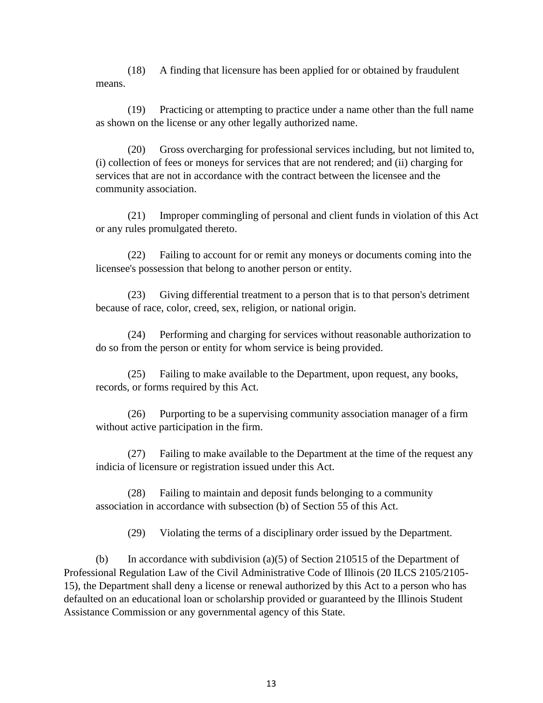(18) A finding that licensure has been applied for or obtained by fraudulent means.

(19) Practicing or attempting to practice under a name other than the full name as shown on the license or any other legally authorized name.

(20) Gross overcharging for professional services including, but not limited to, (i) collection of fees or moneys for services that are not rendered; and (ii) charging for services that are not in accordance with the contract between the licensee and the community association.

(21) Improper commingling of personal and client funds in violation of this Act or any rules promulgated thereto.

(22) Failing to account for or remit any moneys or documents coming into the licensee's possession that belong to another person or entity.

(23) Giving differential treatment to a person that is to that person's detriment because of race, color, creed, sex, religion, or national origin.

(24) Performing and charging for services without reasonable authorization to do so from the person or entity for whom service is being provided.

(25) Failing to make available to the Department, upon request, any books, records, or forms required by this Act.

(26) Purporting to be a supervising community association manager of a firm without active participation in the firm.

(27) Failing to make available to the Department at the time of the request any indicia of licensure or registration issued under this Act.

(28) Failing to maintain and deposit funds belonging to a community association in accordance with subsection (b) of Section 55 of this Act.

(29) Violating the terms of a disciplinary order issued by the Department.

(b) In accordance with subdivision (a)(5) of Section 210515 of the Department of Professional Regulation Law of the Civil Administrative Code of Illinois (20 ILCS 2105/2105- 15), the Department shall deny a license or renewal authorized by this Act to a person who has defaulted on an educational loan or scholarship provided or guaranteed by the Illinois Student Assistance Commission or any governmental agency of this State.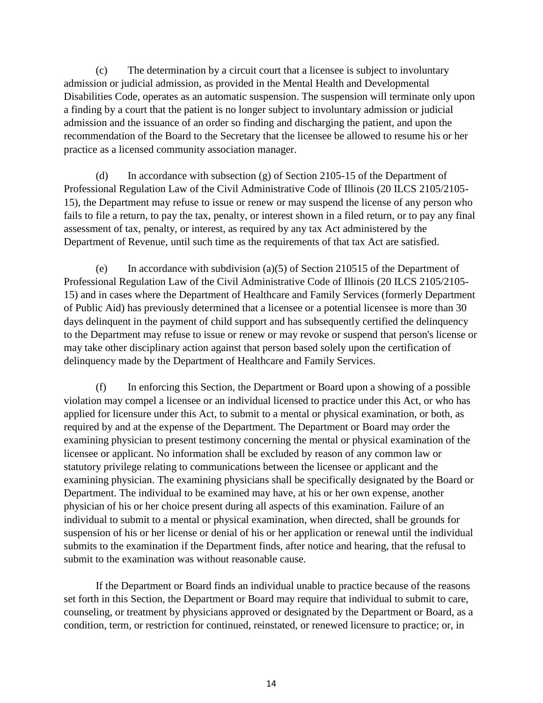(c) The determination by a circuit court that a licensee is subject to involuntary admission or judicial admission, as provided in the Mental Health and Developmental Disabilities Code, operates as an automatic suspension. The suspension will terminate only upon a finding by a court that the patient is no longer subject to involuntary admission or judicial admission and the issuance of an order so finding and discharging the patient, and upon the recommendation of the Board to the Secretary that the licensee be allowed to resume his or her practice as a licensed community association manager.

(d) In accordance with subsection (g) of Section 2105-15 of the Department of Professional Regulation Law of the Civil Administrative Code of Illinois (20 ILCS 2105/2105- 15), the Department may refuse to issue or renew or may suspend the license of any person who fails to file a return, to pay the tax, penalty, or interest shown in a filed return, or to pay any final assessment of tax, penalty, or interest, as required by any tax Act administered by the Department of Revenue, until such time as the requirements of that tax Act are satisfied.

(e) In accordance with subdivision (a)(5) of Section 210515 of the Department of Professional Regulation Law of the Civil Administrative Code of Illinois (20 ILCS 2105/2105- 15) and in cases where the Department of Healthcare and Family Services (formerly Department of Public Aid) has previously determined that a licensee or a potential licensee is more than 30 days delinquent in the payment of child support and has subsequently certified the delinquency to the Department may refuse to issue or renew or may revoke or suspend that person's license or may take other disciplinary action against that person based solely upon the certification of delinquency made by the Department of Healthcare and Family Services.

(f) In enforcing this Section, the Department or Board upon a showing of a possible violation may compel a licensee or an individual licensed to practice under this Act, or who has applied for licensure under this Act, to submit to a mental or physical examination, or both, as required by and at the expense of the Department. The Department or Board may order the examining physician to present testimony concerning the mental or physical examination of the licensee or applicant. No information shall be excluded by reason of any common law or statutory privilege relating to communications between the licensee or applicant and the examining physician. The examining physicians shall be specifically designated by the Board or Department. The individual to be examined may have, at his or her own expense, another physician of his or her choice present during all aspects of this examination. Failure of an individual to submit to a mental or physical examination, when directed, shall be grounds for suspension of his or her license or denial of his or her application or renewal until the individual submits to the examination if the Department finds, after notice and hearing, that the refusal to submit to the examination was without reasonable cause.

If the Department or Board finds an individual unable to practice because of the reasons set forth in this Section, the Department or Board may require that individual to submit to care, counseling, or treatment by physicians approved or designated by the Department or Board, as a condition, term, or restriction for continued, reinstated, or renewed licensure to practice; or, in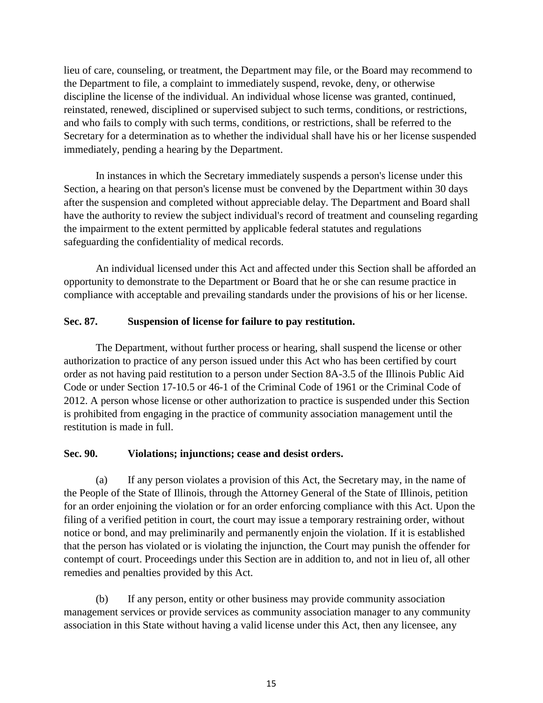lieu of care, counseling, or treatment, the Department may file, or the Board may recommend to the Department to file, a complaint to immediately suspend, revoke, deny, or otherwise discipline the license of the individual. An individual whose license was granted, continued, reinstated, renewed, disciplined or supervised subject to such terms, conditions, or restrictions, and who fails to comply with such terms, conditions, or restrictions, shall be referred to the Secretary for a determination as to whether the individual shall have his or her license suspended immediately, pending a hearing by the Department.

In instances in which the Secretary immediately suspends a person's license under this Section, a hearing on that person's license must be convened by the Department within 30 days after the suspension and completed without appreciable delay. The Department and Board shall have the authority to review the subject individual's record of treatment and counseling regarding the impairment to the extent permitted by applicable federal statutes and regulations safeguarding the confidentiality of medical records.

An individual licensed under this Act and affected under this Section shall be afforded an opportunity to demonstrate to the Department or Board that he or she can resume practice in compliance with acceptable and prevailing standards under the provisions of his or her license.

# **Sec. 87. Suspension of license for failure to pay restitution.**

The Department, without further process or hearing, shall suspend the license or other authorization to practice of any person issued under this Act who has been certified by court order as not having paid restitution to a person under Section 8A-3.5 of the Illinois Public Aid Code or under Section 17-10.5 or 46-1 of the Criminal Code of 1961 or the Criminal Code of 2012. A person whose license or other authorization to practice is suspended under this Section is prohibited from engaging in the practice of community association management until the restitution is made in full.

## **Sec. 90. Violations; injunctions; cease and desist orders.**

(a) If any person violates a provision of this Act, the Secretary may, in the name of the People of the State of Illinois, through the Attorney General of the State of Illinois, petition for an order enjoining the violation or for an order enforcing compliance with this Act. Upon the filing of a verified petition in court, the court may issue a temporary restraining order, without notice or bond, and may preliminarily and permanently enjoin the violation. If it is established that the person has violated or is violating the injunction, the Court may punish the offender for contempt of court. Proceedings under this Section are in addition to, and not in lieu of, all other remedies and penalties provided by this Act.

(b) If any person, entity or other business may provide community association management services or provide services as community association manager to any community association in this State without having a valid license under this Act, then any licensee, any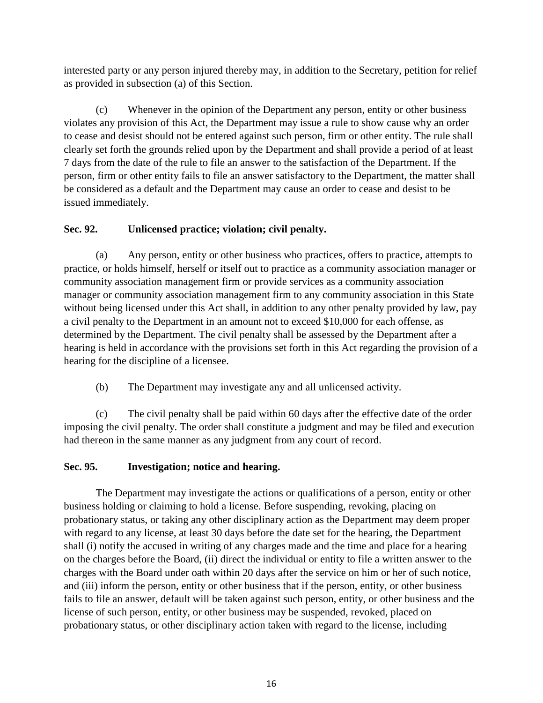interested party or any person injured thereby may, in addition to the Secretary, petition for relief as provided in subsection (a) of this Section.

(c) Whenever in the opinion of the Department any person, entity or other business violates any provision of this Act, the Department may issue a rule to show cause why an order to cease and desist should not be entered against such person, firm or other entity. The rule shall clearly set forth the grounds relied upon by the Department and shall provide a period of at least 7 days from the date of the rule to file an answer to the satisfaction of the Department. If the person, firm or other entity fails to file an answer satisfactory to the Department, the matter shall be considered as a default and the Department may cause an order to cease and desist to be issued immediately.

# **Sec. 92. Unlicensed practice; violation; civil penalty.**

(a) Any person, entity or other business who practices, offers to practice, attempts to practice, or holds himself, herself or itself out to practice as a community association manager or community association management firm or provide services as a community association manager or community association management firm to any community association in this State without being licensed under this Act shall, in addition to any other penalty provided by law, pay a civil penalty to the Department in an amount not to exceed \$10,000 for each offense, as determined by the Department. The civil penalty shall be assessed by the Department after a hearing is held in accordance with the provisions set forth in this Act regarding the provision of a hearing for the discipline of a licensee.

(b) The Department may investigate any and all unlicensed activity.

(c) The civil penalty shall be paid within 60 days after the effective date of the order imposing the civil penalty. The order shall constitute a judgment and may be filed and execution had thereon in the same manner as any judgment from any court of record.

# **Sec. 95. Investigation; notice and hearing.**

The Department may investigate the actions or qualifications of a person, entity or other business holding or claiming to hold a license. Before suspending, revoking, placing on probationary status, or taking any other disciplinary action as the Department may deem proper with regard to any license, at least 30 days before the date set for the hearing, the Department shall (i) notify the accused in writing of any charges made and the time and place for a hearing on the charges before the Board, (ii) direct the individual or entity to file a written answer to the charges with the Board under oath within 20 days after the service on him or her of such notice, and (iii) inform the person, entity or other business that if the person, entity, or other business fails to file an answer, default will be taken against such person, entity, or other business and the license of such person, entity, or other business may be suspended, revoked, placed on probationary status, or other disciplinary action taken with regard to the license, including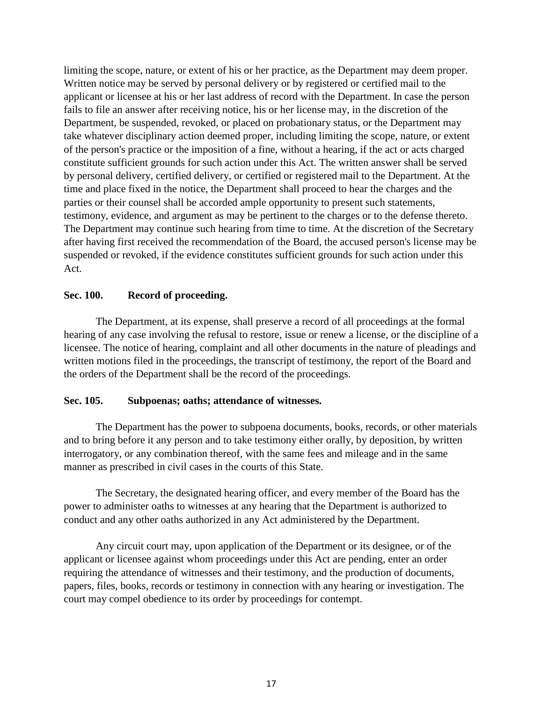limiting the scope, nature, or extent of his or her practice, as the Department may deem proper. Written notice may be served by personal delivery or by registered or certified mail to the applicant or licensee at his or her last address of record with the Department. In case the person fails to file an answer after receiving notice, his or her license may, in the discretion of the Department, be suspended, revoked, or placed on probationary status, or the Department may take whatever disciplinary action deemed proper, including limiting the scope, nature, or extent of the person's practice or the imposition of a fine, without a hearing, if the act or acts charged constitute sufficient grounds for such action under this Act. The written answer shall be served by personal delivery, certified delivery, or certified or registered mail to the Department. At the time and place fixed in the notice, the Department shall proceed to hear the charges and the parties or their counsel shall be accorded ample opportunity to present such statements, testimony, evidence, and argument as may be pertinent to the charges or to the defense thereto. The Department may continue such hearing from time to time. At the discretion of the Secretary after having first received the recommendation of the Board, the accused person's license may be suspended or revoked, if the evidence constitutes sufficient grounds for such action under this Act.

# **Sec. 100. Record of proceeding.**

The Department, at its expense, shall preserve a record of all proceedings at the formal hearing of any case involving the refusal to restore, issue or renew a license, or the discipline of a licensee. The notice of hearing, complaint and all other documents in the nature of pleadings and written motions filed in the proceedings, the transcript of testimony, the report of the Board and the orders of the Department shall be the record of the proceedings.

## **Sec. 105. Subpoenas; oaths; attendance of witnesses.**

The Department has the power to subpoena documents, books, records, or other materials and to bring before it any person and to take testimony either orally, by deposition, by written interrogatory, or any combination thereof, with the same fees and mileage and in the same manner as prescribed in civil cases in the courts of this State.

The Secretary, the designated hearing officer, and every member of the Board has the power to administer oaths to witnesses at any hearing that the Department is authorized to conduct and any other oaths authorized in any Act administered by the Department.

Any circuit court may, upon application of the Department or its designee, or of the applicant or licensee against whom proceedings under this Act are pending, enter an order requiring the attendance of witnesses and their testimony, and the production of documents, papers, files, books, records or testimony in connection with any hearing or investigation. The court may compel obedience to its order by proceedings for contempt.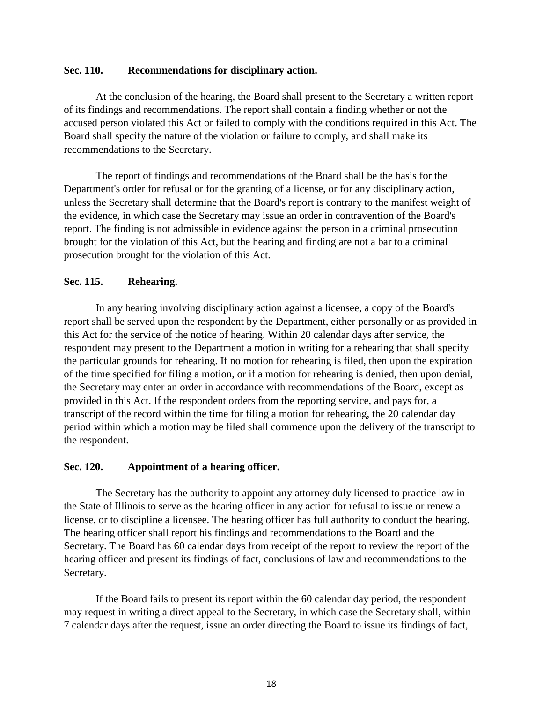## **Sec. 110. Recommendations for disciplinary action.**

At the conclusion of the hearing, the Board shall present to the Secretary a written report of its findings and recommendations. The report shall contain a finding whether or not the accused person violated this Act or failed to comply with the conditions required in this Act. The Board shall specify the nature of the violation or failure to comply, and shall make its recommendations to the Secretary.

The report of findings and recommendations of the Board shall be the basis for the Department's order for refusal or for the granting of a license, or for any disciplinary action, unless the Secretary shall determine that the Board's report is contrary to the manifest weight of the evidence, in which case the Secretary may issue an order in contravention of the Board's report. The finding is not admissible in evidence against the person in a criminal prosecution brought for the violation of this Act, but the hearing and finding are not a bar to a criminal prosecution brought for the violation of this Act.

# **Sec. 115. Rehearing.**

In any hearing involving disciplinary action against a licensee, a copy of the Board's report shall be served upon the respondent by the Department, either personally or as provided in this Act for the service of the notice of hearing. Within 20 calendar days after service, the respondent may present to the Department a motion in writing for a rehearing that shall specify the particular grounds for rehearing. If no motion for rehearing is filed, then upon the expiration of the time specified for filing a motion, or if a motion for rehearing is denied, then upon denial, the Secretary may enter an order in accordance with recommendations of the Board, except as provided in this Act. If the respondent orders from the reporting service, and pays for, a transcript of the record within the time for filing a motion for rehearing, the 20 calendar day period within which a motion may be filed shall commence upon the delivery of the transcript to the respondent.

## **Sec. 120. Appointment of a hearing officer.**

The Secretary has the authority to appoint any attorney duly licensed to practice law in the State of Illinois to serve as the hearing officer in any action for refusal to issue or renew a license, or to discipline a licensee. The hearing officer has full authority to conduct the hearing. The hearing officer shall report his findings and recommendations to the Board and the Secretary. The Board has 60 calendar days from receipt of the report to review the report of the hearing officer and present its findings of fact, conclusions of law and recommendations to the Secretary.

If the Board fails to present its report within the 60 calendar day period, the respondent may request in writing a direct appeal to the Secretary, in which case the Secretary shall, within 7 calendar days after the request, issue an order directing the Board to issue its findings of fact,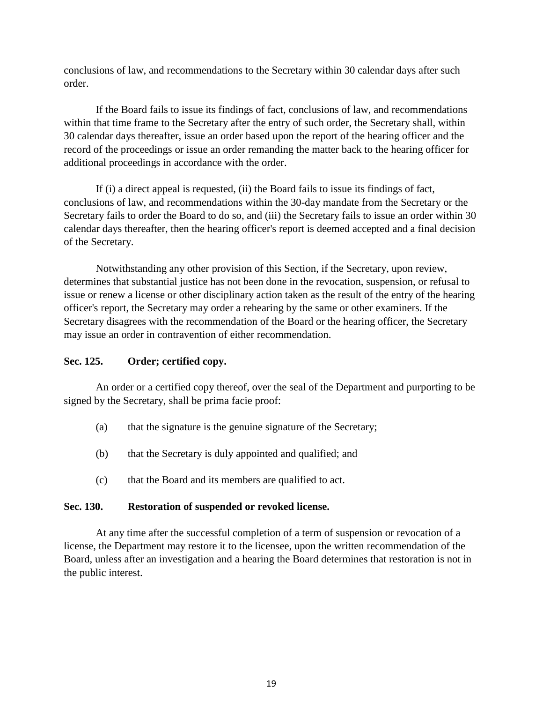conclusions of law, and recommendations to the Secretary within 30 calendar days after such order.

If the Board fails to issue its findings of fact, conclusions of law, and recommendations within that time frame to the Secretary after the entry of such order, the Secretary shall, within 30 calendar days thereafter, issue an order based upon the report of the hearing officer and the record of the proceedings or issue an order remanding the matter back to the hearing officer for additional proceedings in accordance with the order.

If (i) a direct appeal is requested, (ii) the Board fails to issue its findings of fact, conclusions of law, and recommendations within the 30-day mandate from the Secretary or the Secretary fails to order the Board to do so, and (iii) the Secretary fails to issue an order within 30 calendar days thereafter, then the hearing officer's report is deemed accepted and a final decision of the Secretary.

Notwithstanding any other provision of this Section, if the Secretary, upon review, determines that substantial justice has not been done in the revocation, suspension, or refusal to issue or renew a license or other disciplinary action taken as the result of the entry of the hearing officer's report, the Secretary may order a rehearing by the same or other examiners. If the Secretary disagrees with the recommendation of the Board or the hearing officer, the Secretary may issue an order in contravention of either recommendation.

## **Sec. 125. Order; certified copy.**

An order or a certified copy thereof, over the seal of the Department and purporting to be signed by the Secretary, shall be prima facie proof:

- (a) that the signature is the genuine signature of the Secretary;
- (b) that the Secretary is duly appointed and qualified; and
- (c) that the Board and its members are qualified to act.

## **Sec. 130. Restoration of suspended or revoked license.**

At any time after the successful completion of a term of suspension or revocation of a license, the Department may restore it to the licensee, upon the written recommendation of the Board, unless after an investigation and a hearing the Board determines that restoration is not in the public interest.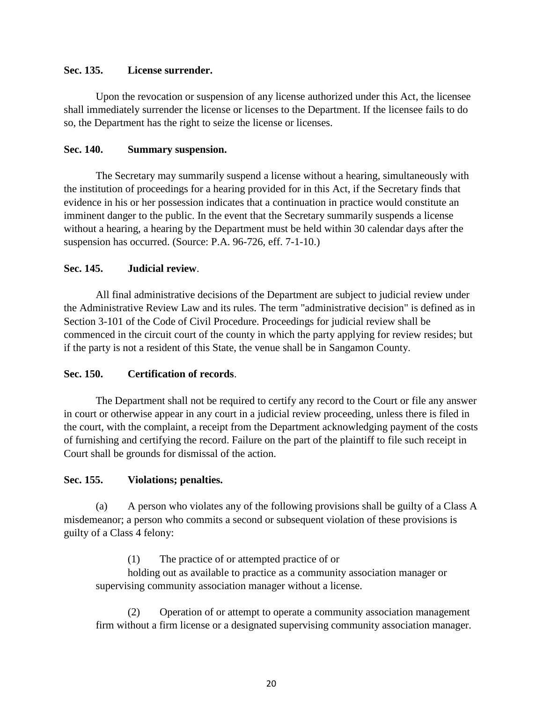# **Sec. 135. License surrender.**

Upon the revocation or suspension of any license authorized under this Act, the licensee shall immediately surrender the license or licenses to the Department. If the licensee fails to do so, the Department has the right to seize the license or licenses.

# **Sec. 140. Summary suspension.**

The Secretary may summarily suspend a license without a hearing, simultaneously with the institution of proceedings for a hearing provided for in this Act, if the Secretary finds that evidence in his or her possession indicates that a continuation in practice would constitute an imminent danger to the public. In the event that the Secretary summarily suspends a license without a hearing, a hearing by the Department must be held within 30 calendar days after the suspension has occurred. (Source: P.A. 96-726, eff. 7-1-10.)

# **Sec. 145. Judicial review**.

All final administrative decisions of the Department are subject to judicial review under the Administrative Review Law and its rules. The term "administrative decision" is defined as in Section 3-101 of the Code of Civil Procedure. Proceedings for judicial review shall be commenced in the circuit court of the county in which the party applying for review resides; but if the party is not a resident of this State, the venue shall be in Sangamon County.

# **Sec. 150. Certification of records**.

The Department shall not be required to certify any record to the Court or file any answer in court or otherwise appear in any court in a judicial review proceeding, unless there is filed in the court, with the complaint, a receipt from the Department acknowledging payment of the costs of furnishing and certifying the record. Failure on the part of the plaintiff to file such receipt in Court shall be grounds for dismissal of the action.

## **Sec. 155. Violations; penalties.**

(a) A person who violates any of the following provisions shall be guilty of a Class A misdemeanor; a person who commits a second or subsequent violation of these provisions is guilty of a Class 4 felony:

(1) The practice of or attempted practice of or

holding out as available to practice as a community association manager or supervising community association manager without a license.

(2) Operation of or attempt to operate a community association management firm without a firm license or a designated supervising community association manager.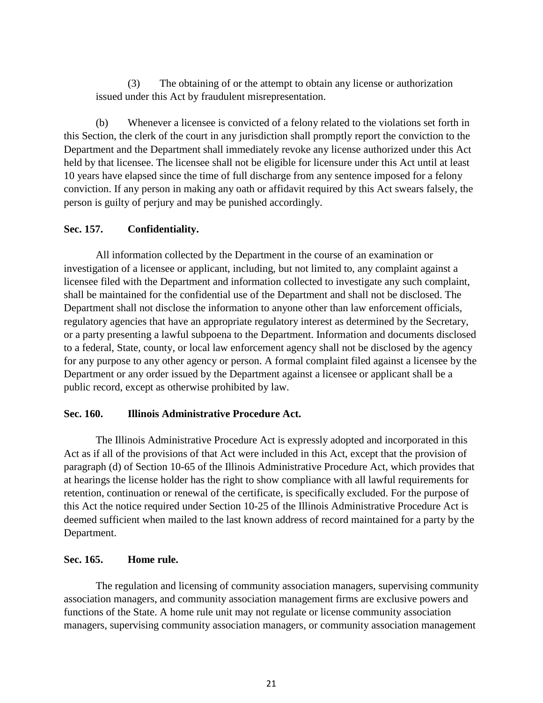(3) The obtaining of or the attempt to obtain any license or authorization issued under this Act by fraudulent misrepresentation.

(b) Whenever a licensee is convicted of a felony related to the violations set forth in this Section, the clerk of the court in any jurisdiction shall promptly report the conviction to the Department and the Department shall immediately revoke any license authorized under this Act held by that licensee. The licensee shall not be eligible for licensure under this Act until at least 10 years have elapsed since the time of full discharge from any sentence imposed for a felony conviction. If any person in making any oath or affidavit required by this Act swears falsely, the person is guilty of perjury and may be punished accordingly.

# **Sec. 157. Confidentiality.**

All information collected by the Department in the course of an examination or investigation of a licensee or applicant, including, but not limited to, any complaint against a licensee filed with the Department and information collected to investigate any such complaint, shall be maintained for the confidential use of the Department and shall not be disclosed. The Department shall not disclose the information to anyone other than law enforcement officials, regulatory agencies that have an appropriate regulatory interest as determined by the Secretary, or a party presenting a lawful subpoena to the Department. Information and documents disclosed to a federal, State, county, or local law enforcement agency shall not be disclosed by the agency for any purpose to any other agency or person. A formal complaint filed against a licensee by the Department or any order issued by the Department against a licensee or applicant shall be a public record, except as otherwise prohibited by law.

## **Sec. 160. Illinois Administrative Procedure Act.**

The Illinois Administrative Procedure Act is expressly adopted and incorporated in this Act as if all of the provisions of that Act were included in this Act, except that the provision of paragraph (d) of Section 10-65 of the Illinois Administrative Procedure Act, which provides that at hearings the license holder has the right to show compliance with all lawful requirements for retention, continuation or renewal of the certificate, is specifically excluded. For the purpose of this Act the notice required under Section 10-25 of the Illinois Administrative Procedure Act is deemed sufficient when mailed to the last known address of record maintained for a party by the Department.

## **Sec. 165. Home rule.**

The regulation and licensing of community association managers, supervising community association managers, and community association management firms are exclusive powers and functions of the State. A home rule unit may not regulate or license community association managers, supervising community association managers, or community association management